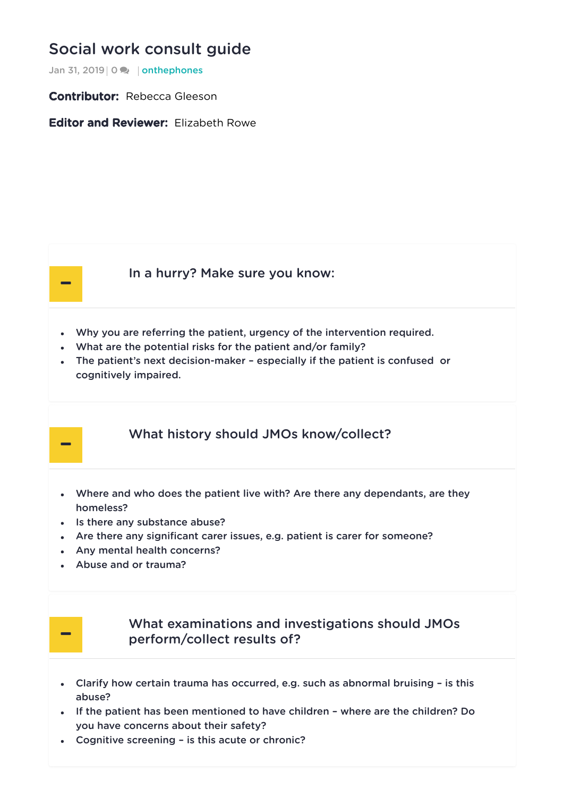## Social work [consult](https://onthewards.org/social-work-consult-guide/) guide

Jan 31, 2019 | 0 **x** | [onthephones](https://onthewards.org/category/onthephones/)

Contributor: Rebecca Gleeson

Editor and Reviewer: Flizabeth Rowe



-

#### In a [hurry?](#page-0-0) Make sure you know:

- <span id="page-0-0"></span>Why you are referring the patient, urgency of the intervention required.
- What are the potential risks for the patient and/or family?
- The patient's next decision-maker especially if the patient is confused or cognitively impaired.

#### What history should JMOs [know/collect?](#page-0-1)

- <span id="page-0-1"></span>Where and who does the patient live with? Are there any dependants, are they homeless?
- Is there any substance abuse?
- Are there any significant carer issues, e.g. patient is carer for someone?
- Any mental health concerns?
- Abuse and or trauma?



### What examinations and investigations should JMOs [perform/collect](#page-0-2) results of?

- <span id="page-0-2"></span>Clarify how certain trauma has occurred, e.g. such as abnormal bruising – is this abuse?
- If the patient has been mentioned to have children where are the children? Do you have concerns about their safety?
- Cognitive screening is this acute or chronic?